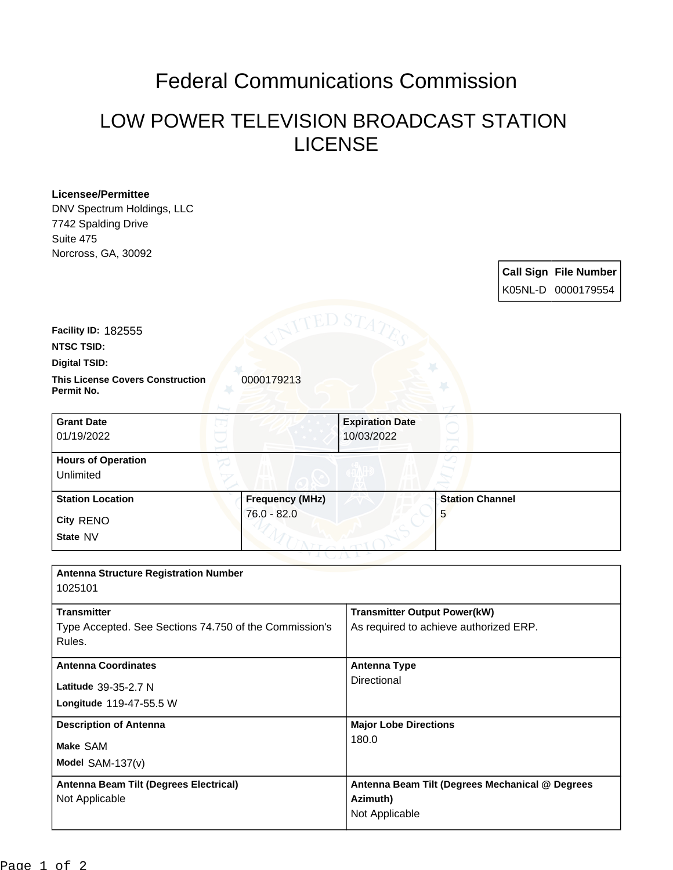## Federal Communications Commission

## LOW POWER TELEVISION BROADCAST STATION LICENSE

## **Licensee/Permittee**

DNV Spectrum Holdings, LLC 7742 Spalding Drive Suite 475

| 7742 Spalding Drive                                                                                                       |                        |                                                                               |                        |  |                                                    |
|---------------------------------------------------------------------------------------------------------------------------|------------------------|-------------------------------------------------------------------------------|------------------------|--|----------------------------------------------------|
| Suite 475                                                                                                                 |                        |                                                                               |                        |  |                                                    |
| Norcross, GA, 30092                                                                                                       |                        |                                                                               |                        |  | <b>Call Sign File Number</b><br>K05NL-D 0000179554 |
| Facility ID: 182555<br><b>NTSC TSID:</b><br><b>Digital TSID:</b><br><b>This License Covers Construction</b><br>Permit No. | 0000179213             |                                                                               |                        |  |                                                    |
| <b>Grant Date</b><br>01/19/2022                                                                                           |                        | <b>Expiration Date</b><br>10/03/2022                                          |                        |  |                                                    |
| <b>Hours of Operation</b><br>Unlimited                                                                                    |                        |                                                                               |                        |  |                                                    |
| <b>Station Location</b>                                                                                                   | <b>Frequency (MHz)</b> |                                                                               | <b>Station Channel</b> |  |                                                    |
| City RENO                                                                                                                 | $76.0 - 82.0$          |                                                                               | 5                      |  |                                                    |
| State NV                                                                                                                  |                        |                                                                               |                        |  |                                                    |
|                                                                                                                           |                        |                                                                               |                        |  |                                                    |
| <b>Antenna Structure Registration Number</b><br>1025101                                                                   |                        |                                                                               |                        |  |                                                    |
| <b>Transmitter</b><br>Type Accepted. See Sections 74.750 of the Commission's<br>Rules.                                    |                        | <b>Transmitter Output Power(kW)</b><br>As required to achieve authorized ERP. |                        |  |                                                    |
| <b>Antenna Coordinates</b>                                                                                                |                        | <b>Antenna Type</b>                                                           |                        |  |                                                    |
| Latitude 39-35-2.7 N<br>Longitude 119-47-55.5 W                                                                           |                        | Directional                                                                   |                        |  |                                                    |
| <b>Description of Antenna</b><br>Make SAM                                                                                 |                        | <b>Major Lobe Directions</b>                                                  |                        |  |                                                    |
|                                                                                                                           |                        | 180.0                                                                         |                        |  |                                                    |
| Model SAM-137(v)                                                                                                          |                        |                                                                               |                        |  |                                                    |
| Antenna Beam Tilt (Degrees Electrical)<br>Not Applicable                                                                  |                        | Antenna Beam Tilt (Degrees Mechanical @ Degrees<br>Azimuth)<br>Not Applicable |                        |  |                                                    |